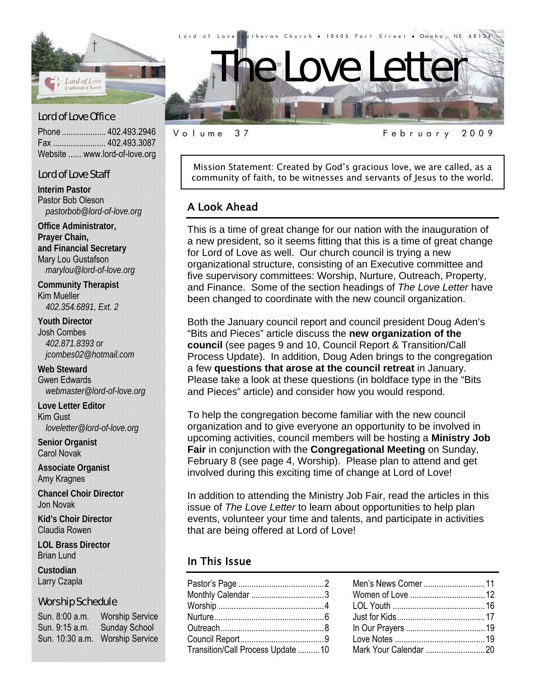

Phone .................... 402.493.2946 Fax ........................ 402.493.3087 Website ...... www.lord-of-love.org

#### Lord of Love Staff

**Interim Pastor**  Pastor Bob Oleson *pastorbob@lord-of-love.org* 

**Office Administrator, Prayer Chain, and Financial Secretary**  Mary Lou Gustafson *marylou@lord-of-love.org* 

**Community Therapist**  Kim Mueller *402.354.6891, Ext. 2* 

**Youth Director**  Josh Combes *402.871.8393 or jcombes02@hotmail.com* 

**Web Steward**  Gwen Edwards *webmaster@lord-of-love.org* 

**Love Letter Editor**  Kim Gust *loveletter@lord-of-love.org* 

**Senior Organist**  Carol Novak

**Associate Organist**  Amy Kragnes

**Chancel Choir Director**  Jon Novak

**Kid's Choir Director**  Claudia Rowen

**LOL Brass Director**  Brian Lund

**Custodian**  Larry Czapla

#### Worship Schedule

Sun. 8:00 a.m. Worship Service Sun. 9:15 a.m. Sunday School Sun. 10:30 a.m. Worship Service Mission Statement: Created by God's gracious love, we are called, as a

Volume 37 February 2009

#### A Look Ahead

This is a time of great change for our nation with the inauguration of a new president, so it seems fitting that this is a time of great change for Lord of Love as well. Our church council is trying a new organizational structure, consisting of an Executive committee and five supervisory committees: Worship, Nurture, Outreach, Property, and Finance. Some of the section headings of *The Love Letter* have been changed to coordinate with the new council organization.

community of faith, to be witnesses and servants of Jesus to the world.

Both the January council report and council president Doug Aden's "Bits and Pieces" article discuss the **new organization of the council** (see pages 9 and 10, Council Report & Transition/Call Process Update). In addition, Doug Aden brings to the congregation a few **questions that arose at the council retreat** in January. Please take a look at these questions (in boldface type in the "Bits and Pieces" article) and consider how you would respond.

To help the congregation become familiar with the new council organization and to give everyone an opportunity to be involved in upcoming activities, council members will be hosting a **Ministry Job Fair** in conjunction with the **Congregational Meeting** on Sunday, February 8 (see page 4, Worship). Please plan to attend and get involved during this exciting time of change at Lord of Love!

In addition to attending the Ministry Job Fair, read the articles in this issue of *The Love Letter* to learn about opportunities to help plan events, volunteer your time and talents, and participate in activities that are being offered at Lord of Love!

#### In This Issue

| Monthly Calendar 3                |  |
|-----------------------------------|--|
|                                   |  |
|                                   |  |
|                                   |  |
|                                   |  |
| Transition/Call Process Update 10 |  |
|                                   |  |

| Men's News Corner 11  |  |
|-----------------------|--|
|                       |  |
|                       |  |
|                       |  |
|                       |  |
|                       |  |
| Mark Your Calendar 20 |  |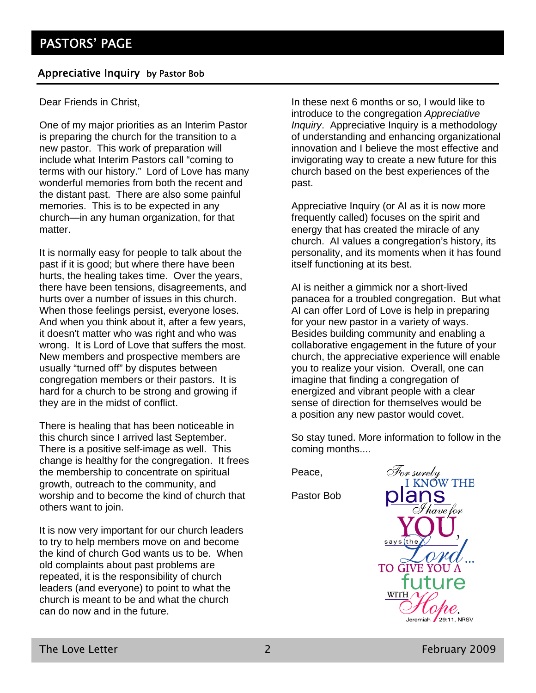#### Appreciative Inquiry by Pastor Bob

Dear Friends in Christ,

One of my major priorities as an Interim Pastor is preparing the church for the transition to a new pastor. This work of preparation will include what Interim Pastors call "coming to terms with our history." Lord of Love has many wonderful memories from both the recent and the distant past. There are also some painful memories. This is to be expected in any church—in any human organization, for that matter.

It is normally easy for people to talk about the past if it is good; but where there have been hurts, the healing takes time. Over the years, there have been tensions, disagreements, and hurts over a number of issues in this church. When those feelings persist, everyone loses. And when you think about it, after a few years, it doesn't matter who was right and who was wrong. It is Lord of Love that suffers the most. New members and prospective members are usually "turned off" by disputes between congregation members or their pastors. It is hard for a church to be strong and growing if they are in the midst of conflict.

There is healing that has been noticeable in this church since I arrived last September. There is a positive self-image as well. This change is healthy for the congregation. It frees the membership to concentrate on spiritual growth, outreach to the community, and worship and to become the kind of church that others want to join.

It is now very important for our church leaders to try to help members move on and become the kind of church God wants us to be. When old complaints about past problems are repeated, it is the responsibility of church leaders (and everyone) to point to what the church is meant to be and what the church can do now and in the future.

In these next 6 months or so, I would like to introduce to the congregation *Appreciative Inquiry*. Appreciative Inquiry is a methodology of understanding and enhancing organizational innovation and I believe the most effective and invigorating way to create a new future for this church based on the best experiences of the past.

Appreciative Inquiry (or AI as it is now more frequently called) focuses on the spirit and energy that has created the miracle of any church. AI values a congregation's history, its personality, and its moments when it has found itself functioning at its best.

AI is neither a gimmick nor a short-lived panacea for a troubled congregation. But what AI can offer Lord of Love is help in preparing for your new pastor in a variety of ways. Besides building community and enabling a collaborative engagement in the future of your church, the appreciative experience will enable you to realize your vision. Overall, one can imagine that finding a congregation of energized and vibrant people with a clear sense of direction for themselves would be a position any new pastor would covet.

So stay tuned. More information to follow in the coming months....

Peace,

Pastor Bob

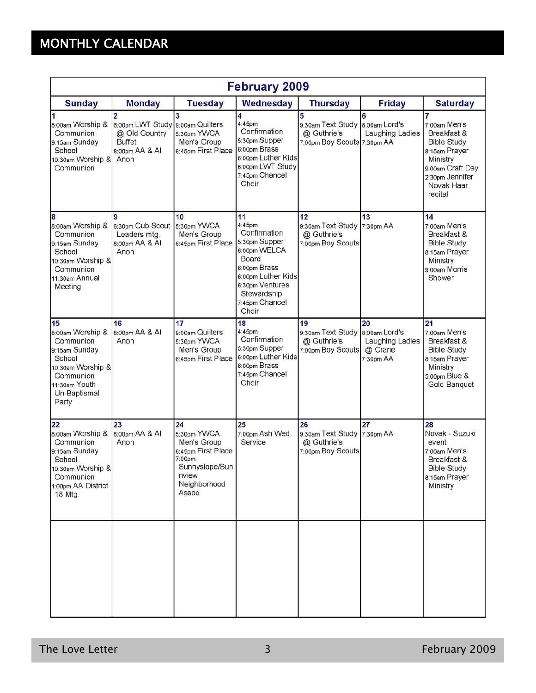# MONTHLY CALENDAR

| <b>February 2009</b>                                                                                                                       |                                                                                                |                                                                                                                       |                                                                                                                                                                           |                                                                                    |                                               |                                                                                                                                                     |
|--------------------------------------------------------------------------------------------------------------------------------------------|------------------------------------------------------------------------------------------------|-----------------------------------------------------------------------------------------------------------------------|---------------------------------------------------------------------------------------------------------------------------------------------------------------------------|------------------------------------------------------------------------------------|-----------------------------------------------|-----------------------------------------------------------------------------------------------------------------------------------------------------|
| <b>Sunday</b>                                                                                                                              | <b>Monday</b>                                                                                  | <b>Tuesday</b>                                                                                                        | Wednesday                                                                                                                                                                 | <b>Thursday</b>                                                                    | <b>Friday</b>                                 | <b>Saturday</b>                                                                                                                                     |
| 8:00am Worship &<br>Communion<br>9:15am Sunday<br>School<br>10:30am Worship &<br>Communion                                                 | $\overline{2}$<br>6:00pm LWT Study<br>@ Old Country<br><b>Buffet</b><br>8:00pm AA & AI<br>Anon | 3<br>9:00am Quilters<br>5:30pm YWCA<br>Men's Group<br>6:45pm First Place                                              | 4<br>4:45pm<br>Confirmation<br>5:30pm Supper<br>6:00pm Brass<br>6:00pm Luther Kids<br>6:00pm LWT Study<br>7:45pm Chancel<br>Choir                                         | 5<br>9:30am Text Study 8:00am Lord's<br>@ Guthrie's<br>7:00pm Boy Scouts 7:30pm AA | 6<br>Laughing Ladies                          | 7<br>7:00am Men's<br>Breakfast &<br><b>Bible Study</b><br>8:15am Prayer<br>Ministry<br>9:00am Craft Day<br>2:30pm Jennifer<br>Novak Haar<br>recital |
| 8<br>8:00am Worship &<br>Communion<br>9:15am Sunday<br>School<br>10:30am Worship &<br>Communion<br>11:30am Annual<br>Meeting               | 6:30pm Cub Scout<br>Leaders mtg.<br>8:00pm AA & AI<br>Anon                                     | 10<br>5:30pm YWCA<br>Men's Group<br>6:45pm First Place                                                                | 11<br>4:45pm<br>Confirmation<br>5:30pm Supper<br>6:00pm WELCA<br>Board<br>6:00pm Brass<br>6:00pm Luther Kids<br>6:30pm Ventures<br>Stewardship<br>7:45pm Chancel<br>Choir | 12<br>9:30am Text Study 7:30pm AA<br>@ Guthrie's<br>7:00pm Boy Scouts              | 13                                            | 14<br>7:00am Men's<br>Breakfast &<br><b>Bible Study</b><br>8:15am Prayer<br>Ministry<br>9:00am Morris<br>Shower                                     |
| 15<br>8:00am Worship &<br>Communion<br>9:15am Sunday<br>School<br>10:30am Worship &<br>Communion<br>11:30am Youth<br>Un-Baptismal<br>Party | 16<br>8:00pm AA & AI<br>Anon                                                                   | 17<br>9:00am Quilters<br>5:30pm YWCA<br>Men's Group<br>6:45pm First Place                                             | 18<br>4:45pm<br>Confirmation<br>5:30pm Supper<br>6:00pm Luther Kids<br>6:00pm Brass<br>7:45pm Chancel<br>Choir                                                            | 19<br>9:30am Text Study 8:00am Lord's<br>@ Guthrie's<br>7:00pm Boy Scouts          | 20<br>Laughing Ladies<br>@ Crane<br>7:30pm AA | 21<br>7:00am Men's<br>Breakfast &<br><b>Bible Study</b><br>8:15am Prayer<br>Ministry<br>5:00pm Blue &<br>Gold Banquet                               |
| 22<br>8:00am Worship &<br>Communion<br>9:15am Sunday<br>School<br>10:30am Worship &<br>Communion<br>1:00pm AA District<br>18 Mtg.          | 23<br>8:00pm AA & AI<br>Anon                                                                   | 24<br>5:30pm YWCA<br>Men's Group<br>6:45pm First Place<br>7:00pm<br>Sunnyslope/Sun<br>nview<br>Neighborhood<br>Assoc. | 25<br>7:00pm Ash Wed.<br>Service                                                                                                                                          | 26<br>9:30am Text Study 7:30pm AA<br>@ Guthrie's<br>7:00pm Boy Scouts              | 27                                            | 28<br>Novak - Suzuki<br>event<br>7:00am Men's<br>Breakfast &<br><b>Bible Study</b><br>8:15am Prayer<br>Ministry                                     |
|                                                                                                                                            |                                                                                                |                                                                                                                       |                                                                                                                                                                           |                                                                                    |                                               |                                                                                                                                                     |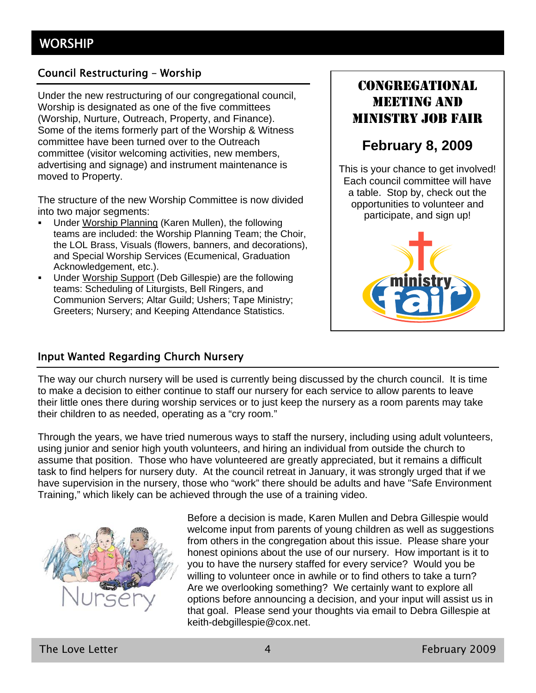#### Council Restructuring – Worship

Under the new restructuring of our congregational council, Worship is designated as one of the five committees (Worship, Nurture, Outreach, Property, and Finance). Some of the items formerly part of the Worship & Witness committee have been turned over to the Outreach committee (visitor welcoming activities, new members, advertising and signage) and instrument maintenance is moved to Property.

The structure of the new Worship Committee is now divided into two major segments:

- Under Worship Planning (Karen Mullen), the following teams are included: the Worship Planning Team; the Choir, the LOL Brass, Visuals (flowers, banners, and decorations), and Special Worship Services (Ecumenical, Graduation Acknowledgement, etc.).
- Under Worship Support (Deb Gillespie) are the following teams: Scheduling of Liturgists, Bell Ringers, and Communion Servers; Altar Guild; Ushers; Tape Ministry; Greeters; Nursery; and Keeping Attendance Statistics.

## CONGREGATIONAL MEETING AND MINISTRY JOB FAIR

## **February 8, 2009**

This is your chance to get involved! Each council committee will have a table. Stop by, check out the opportunities to volunteer and participate, and sign up!



#### Input Wanted Regarding Church Nursery

The way our church nursery will be used is currently being discussed by the church council. It is time to make a decision to either continue to staff our nursery for each service to allow parents to leave their little ones there during worship services or to just keep the nursery as a room parents may take their children to as needed, operating as a "cry room."

Through the years, we have tried numerous ways to staff the nursery, including using adult volunteers, using junior and senior high youth volunteers, and hiring an individual from outside the church to assume that position. Those who have volunteered are greatly appreciated, but it remains a difficult task to find helpers for nursery duty. At the council retreat in January, it was strongly urged that if we have supervision in the nursery, those who "work" there should be adults and have "Safe Environment Training," which likely can be achieved through the use of a training video.



Before a decision is made, Karen Mullen and Debra Gillespie would welcome input from parents of young children as well as suggestions from others in the congregation about this issue. Please share your honest opinions about the use of our nursery. How important is it to you to have the nursery staffed for every service? Would you be willing to volunteer once in awhile or to find others to take a turn? Are we overlooking something? We certainly want to explore all options before announcing a decision, and your input will assist us in that goal. Please send your thoughts via email to Debra Gillespie at keith-debgillespie@cox.net.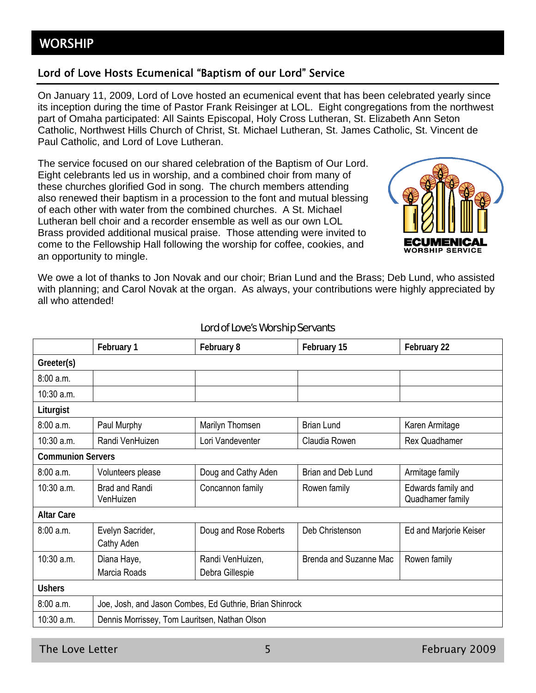#### Lord of Love Hosts Ecumenical "Baptism of our Lord" Service

On January 11, 2009, Lord of Love hosted an ecumenical event that has been celebrated yearly since its inception during the time of Pastor Frank Reisinger at LOL. Eight congregations from the northwest part of Omaha participated: All Saints Episcopal, Holy Cross Lutheran, St. Elizabeth Ann Seton Catholic, Northwest Hills Church of Christ, St. Michael Lutheran, St. James Catholic, St. Vincent de Paul Catholic, and Lord of Love Lutheran.

The service focused on our shared celebration of the Baptism of Our Lord. Eight celebrants led us in worship, and a combined choir from many of these churches glorified God in song. The church members attending also renewed their baptism in a procession to the font and mutual blessing of each other with water from the combined churches. A St. Michael Lutheran bell choir and a recorder ensemble as well as our own LOL Brass provided additional musical praise. Those attending were invited to come to the Fellowship Hall following the worship for coffee, cookies, and an opportunity to mingle.



We owe a lot of thanks to Jon Novak and our choir; Brian Lund and the Brass; Deb Lund, who assisted with planning; and Carol Novak at the organ. As always, your contributions were highly appreciated by all who attended!

|                          | February 1                                              | February 8                          | February 15            | February 22                            |
|--------------------------|---------------------------------------------------------|-------------------------------------|------------------------|----------------------------------------|
| Greeter(s)               |                                                         |                                     |                        |                                        |
| 8:00a.m.                 |                                                         |                                     |                        |                                        |
| 10:30 a.m.               |                                                         |                                     |                        |                                        |
| Liturgist                |                                                         |                                     |                        |                                        |
| 8:00 a.m.                | Paul Murphy                                             | Marilyn Thomsen                     | <b>Brian Lund</b>      | Karen Armitage                         |
| 10:30 a.m.               | Randi VenHuizen                                         | Lori Vandeventer                    | Claudia Rowen          | <b>Rex Quadhamer</b>                   |
| <b>Communion Servers</b> |                                                         |                                     |                        |                                        |
| 8:00a.m.                 | Volunteers please                                       | Doug and Cathy Aden                 | Brian and Deb Lund     | Armitage family                        |
| $10:30$ a.m.             | <b>Brad and Randi</b><br>VenHuizen                      | Concannon family                    | Rowen family           | Edwards family and<br>Quadhamer family |
| <b>Altar Care</b>        |                                                         |                                     |                        |                                        |
| 8:00 a.m.                | Evelyn Sacrider,<br>Cathy Aden                          | Doug and Rose Roberts               | Deb Christenson        | Ed and Marjorie Keiser                 |
| $10:30$ a.m.             | Diana Haye,<br>Marcia Roads                             | Randi VenHuizen,<br>Debra Gillespie | Brenda and Suzanne Mac | Rowen family                           |
| <b>Ushers</b>            |                                                         |                                     |                        |                                        |
| 8:00 a.m.                | Joe, Josh, and Jason Combes, Ed Guthrie, Brian Shinrock |                                     |                        |                                        |
| 10:30 a.m.               | Dennis Morrissey, Tom Lauritsen, Nathan Olson           |                                     |                        |                                        |

#### Lord of Love's Worship Servants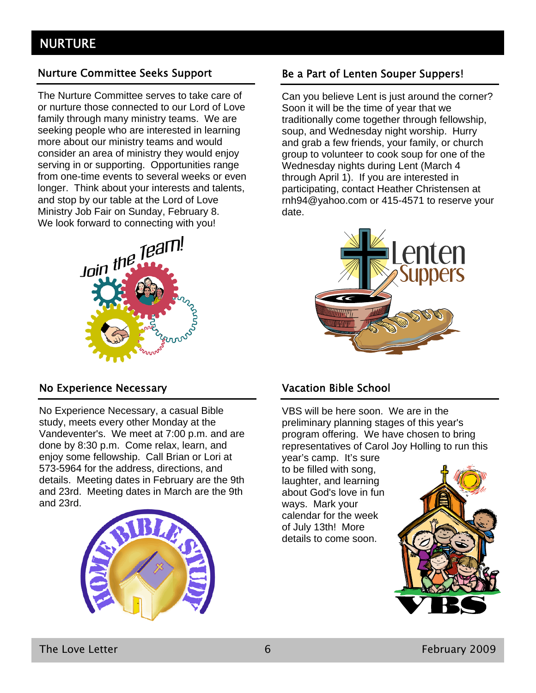#### Nurture Committee Seeks Support

The Nurture Committee serves to take care of or nurture those connected to our Lord of Love family through many ministry teams. We are seeking people who are interested in learning more about our ministry teams and would consider an area of ministry they would enjoy serving in or supporting. Opportunities range from one-time events to several weeks or even longer. Think about your interests and talents, and stop by our table at the Lord of Love Ministry Job Fair on Sunday, February 8. We look forward to connecting with you!



#### No Experience Necessary

No Experience Necessary, a casual Bible study, meets every other Monday at the Vandeventer's. We meet at 7:00 p.m. and are done by 8:30 p.m. Come relax, learn, and enjoy some fellowship. Call Brian or Lori at 573-5964 for the address, directions, and details. Meeting dates in February are the 9th and 23rd. Meeting dates in March are the 9th and 23rd.



#### Be a Part of Lenten Souper Suppers!

Can you believe Lent is just around the corner? Soon it will be the time of year that we traditionally come together through fellowship, soup, and Wednesday night worship. Hurry and grab a few friends, your family, or church group to volunteer to cook soup for one of the Wednesday nights during Lent (March 4 through April 1). If you are interested in participating, contact Heather Christensen at rnh94@yahoo.com or 415-4571 to reserve your date.



### Vacation Bible School

VBS will be here soon. We are in the preliminary planning stages of this year's program offering. We have chosen to bring representatives of Carol Joy Holling to run this

year's camp. It's sure to be filled with song, laughter, and learning about God's love in fun ways. Mark your calendar for the week of July 13th! More details to come soon.

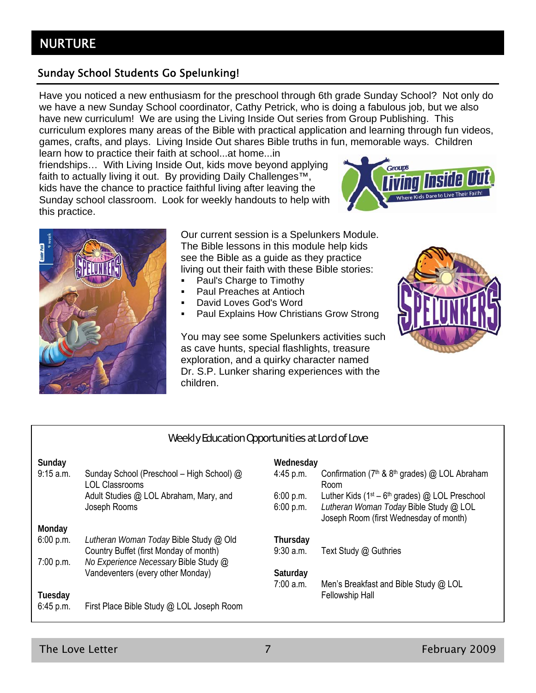#### Sunday School Students Go Spelunking!

Have you noticed a new enthusiasm for the preschool through 6th grade Sunday School? Not only do we have a new Sunday School coordinator, Cathy Petrick, who is doing a fabulous job, but we also have new curriculum! We are using the Living Inside Out series from Group Publishing. This curriculum explores many areas of the Bible with practical application and learning through fun videos, games, crafts, and plays. Living Inside Out shares Bible truths in fun, memorable ways. Children learn how to practice their faith at school...at home...in

friendships… With Living Inside Out, kids move beyond applying faith to actually living it out. By providing Daily Challenges™, kids have the chance to practice faithful living after leaving the Sunday school classroom. Look for weekly handouts to help with this practice.





Our current session is a Spelunkers Module. The Bible lessons in this module help kids see the Bible as a guide as they practice living out their faith with these Bible stories:

- Paul's Charge to Timothy
- Paul Preaches at Antioch
- David Loves God's Word
- Paul Explains How Christians Grow Strong

You may see some Spelunkers activities such as cave hunts, special flashlights, treasure exploration, and a quirky character named Dr. S.P. Lunker sharing experiences with the children.



#### Weekly Education Opportunities at Lord of Love

| Sunday<br>9:15 a.m. | Sunday School (Preschool - High School) @ | Wednesday<br>$4:45$ p.m. | Confirmation ( $7th$ & $8th$ grades) @ LOL Abraham                               |
|---------------------|-------------------------------------------|--------------------------|----------------------------------------------------------------------------------|
|                     | <b>LOL Classrooms</b>                     |                          | Room                                                                             |
|                     | Adult Studies @ LOL Abraham, Mary, and    | 6:00 p.m.                | Luther Kids ( $1st - 6th$ grades) @ LOL Preschool                                |
|                     | Joseph Rooms                              | 6:00 p.m.                | Lutheran Woman Today Bible Study @ LOL<br>Joseph Room (first Wednesday of month) |
| Monday              |                                           |                          |                                                                                  |
| 6:00 p.m.           | Lutheran Woman Today Bible Study @ Old    | Thursday                 |                                                                                  |
|                     | Country Buffet (first Monday of month)    | $9:30$ a.m.              | Text Study @ Guthries                                                            |
| 7:00 p.m.           | No Experience Necessary Bible Study @     |                          |                                                                                  |
|                     | Vandeventers (every other Monday)         | Saturday                 |                                                                                  |
|                     |                                           | $7:00$ a.m.              | Men's Breakfast and Bible Study @ LOL                                            |
| Tuesday             |                                           |                          | <b>Fellowship Hall</b>                                                           |
| 6:45 p.m.           | First Place Bible Study @ LOL Joseph Room |                          |                                                                                  |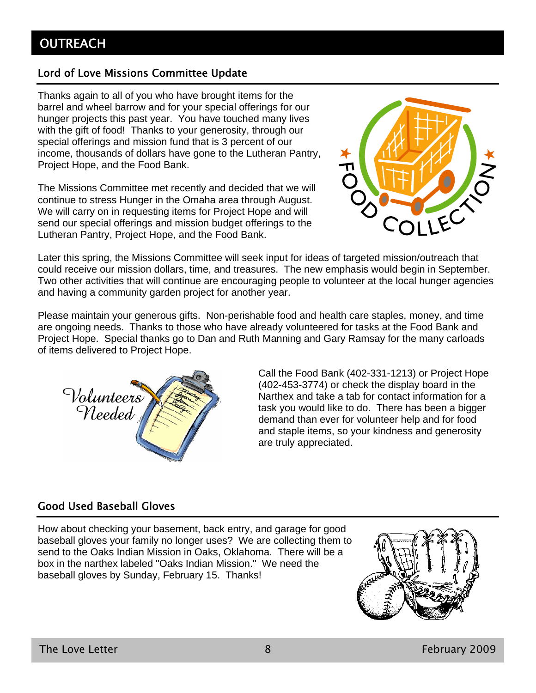#### Lord of Love Missions Committee Update

Thanks again to all of you who have brought items for the barrel and wheel barrow and for your special offerings for our hunger projects this past year. You have touched many lives with the gift of food! Thanks to your generosity, through our special offerings and mission fund that is 3 percent of our income, thousands of dollars have gone to the Lutheran Pantry, Project Hope, and the Food Bank.

The Missions Committee met recently and decided that we will continue to stress Hunger in the Omaha area through August. We will carry on in requesting items for Project Hope and will send our special offerings and mission budget offerings to the Lutheran Pantry, Project Hope, and the Food Bank.



Later this spring, the Missions Committee will seek input for ideas of targeted mission/outreach that could receive our mission dollars, time, and treasures. The new emphasis would begin in September. Two other activities that will continue are encouraging people to volunteer at the local hunger agencies and having a community garden project for another year.

Please maintain your generous gifts. Non-perishable food and health care staples, money, and time are ongoing needs. Thanks to those who have already volunteered for tasks at the Food Bank and Project Hope. Special thanks go to Dan and Ruth Manning and Gary Ramsay for the many carloads of items delivered to Project Hope.



Call the Food Bank (402-331-1213) or Project Hope (402-453-3774) or check the display board in the Narthex and take a tab for contact information for a task you would like to do. There has been a bigger demand than ever for volunteer help and for food and staple items, so your kindness and generosity are truly appreciated.

### Good Used Baseball Gloves

How about checking your basement, back entry, and garage for good baseball gloves your family no longer uses? We are collecting them to send to the Oaks Indian Mission in Oaks, Oklahoma. There will be a box in the narthex labeled "Oaks Indian Mission." We need the baseball gloves by Sunday, February 15. Thanks!

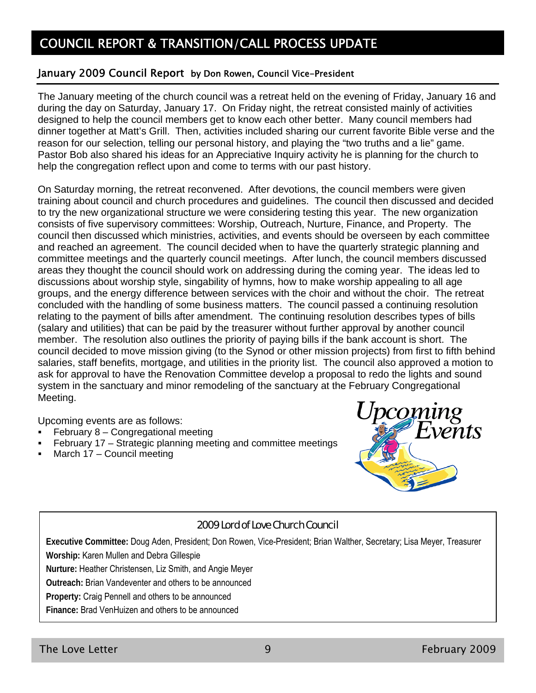## COUNCIL REPORT & TRANSITION/CALL PROCESS UPDATE

#### January 2009 Council Report by Don Rowen, Council Vice-President

The January meeting of the church council was a retreat held on the evening of Friday, January 16 and during the day on Saturday, January 17. On Friday night, the retreat consisted mainly of activities designed to help the council members get to know each other better. Many council members had dinner together at Matt's Grill. Then, activities included sharing our current favorite Bible verse and the reason for our selection, telling our personal history, and playing the "two truths and a lie" game. Pastor Bob also shared his ideas for an Appreciative Inquiry activity he is planning for the church to help the congregation reflect upon and come to terms with our past history.

On Saturday morning, the retreat reconvened. After devotions, the council members were given training about council and church procedures and guidelines. The council then discussed and decided to try the new organizational structure we were considering testing this year. The new organization consists of five supervisory committees: Worship, Outreach, Nurture, Finance, and Property. The council then discussed which ministries, activities, and events should be overseen by each committee and reached an agreement. The council decided when to have the quarterly strategic planning and committee meetings and the quarterly council meetings. After lunch, the council members discussed areas they thought the council should work on addressing during the coming year. The ideas led to discussions about worship style, singability of hymns, how to make worship appealing to all age groups, and the energy difference between services with the choir and without the choir. The retreat concluded with the handling of some business matters. The council passed a continuing resolution relating to the payment of bills after amendment. The continuing resolution describes types of bills (salary and utilities) that can be paid by the treasurer without further approval by another council member. The resolution also outlines the priority of paying bills if the bank account is short. The council decided to move mission giving (to the Synod or other mission projects) from first to fifth behind salaries, staff benefits, mortgage, and utilities in the priority list. The council also approved a motion to ask for approval to have the Renovation Committee develop a proposal to redo the lights and sound system in the sanctuary and minor remodeling of the sanctuary at the February Congregational Meeting.

Upcoming events are as follows:

- February 8 Congregational meeting
- February 17 Strategic planning meeting and committee meetings
- March 17 Council meeting



#### 2009 Lord of Love Church Council

**Executive Committee:** Doug Aden, President; Don Rowen, Vice-President; Brian Walther, Secretary; Lisa Meyer, Treasurer **Worship:** Karen Mullen and Debra Gillespie

**Nurture:** Heather Christensen, Liz Smith, and Angie Meyer

**Outreach:** Brian Vandeventer and others to be announced

**Property:** Craig Pennell and others to be announced

**Finance:** Brad VenHuizen and others to be announced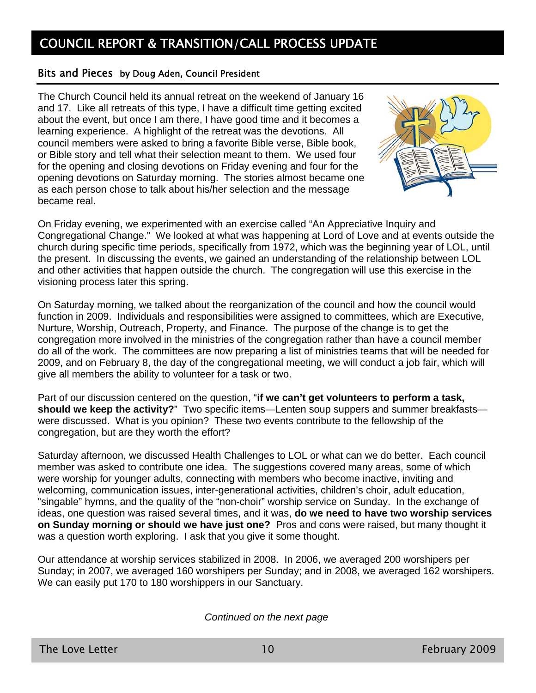## COUNCIL REPORT & TRANSITION/CALL PROCESS UPDATE

#### Bits and Pieces by Doug Aden, Council President

The Church Council held its annual retreat on the weekend of January 16 and 17. Like all retreats of this type, I have a difficult time getting excited about the event, but once I am there, I have good time and it becomes a learning experience. A highlight of the retreat was the devotions. All council members were asked to bring a favorite Bible verse, Bible book, or Bible story and tell what their selection meant to them. We used four for the opening and closing devotions on Friday evening and four for the opening devotions on Saturday morning. The stories almost became one as each person chose to talk about his/her selection and the message became real.



On Friday evening, we experimented with an exercise called "An Appreciative Inquiry and Congregational Change." We looked at what was happening at Lord of Love and at events outside the church during specific time periods, specifically from 1972, which was the beginning year of LOL, until the present. In discussing the events, we gained an understanding of the relationship between LOL and other activities that happen outside the church. The congregation will use this exercise in the visioning process later this spring.

On Saturday morning, we talked about the reorganization of the council and how the council would function in 2009. Individuals and responsibilities were assigned to committees, which are Executive, Nurture, Worship, Outreach, Property, and Finance. The purpose of the change is to get the congregation more involved in the ministries of the congregation rather than have a council member do all of the work. The committees are now preparing a list of ministries teams that will be needed for 2009, and on February 8, the day of the congregational meeting, we will conduct a job fair, which will give all members the ability to volunteer for a task or two.

Part of our discussion centered on the question, "**if we can't get volunteers to perform a task, should we keep the activity?**" Two specific items—Lenten soup suppers and summer breakfasts were discussed. What is you opinion? These two events contribute to the fellowship of the congregation, but are they worth the effort?

Saturday afternoon, we discussed Health Challenges to LOL or what can we do better. Each council member was asked to contribute one idea. The suggestions covered many areas, some of which were worship for younger adults, connecting with members who become inactive, inviting and welcoming, communication issues, inter-generational activities, children's choir, adult education, "singable" hymns, and the quality of the "non-choir" worship service on Sunday. In the exchange of ideas, one question was raised several times, and it was, **do we need to have two worship services on Sunday morning or should we have just one?** Pros and cons were raised, but many thought it was a question worth exploring. I ask that you give it some thought.

Our attendance at worship services stabilized in 2008. In 2006, we averaged 200 worshipers per Sunday; in 2007, we averaged 160 worshipers per Sunday; and in 2008, we averaged 162 worshipers. We can easily put 170 to 180 worshippers in our Sanctuary.

*Continued on the next page*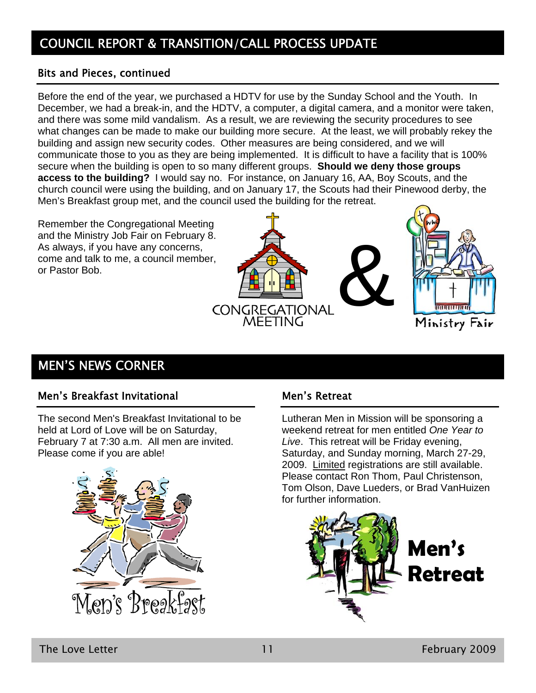# COUNCIL REPORT & TRANSITION/CALL PROCESS UPDATE

#### Bits and Pieces, continued

Before the end of the year, we purchased a HDTV for use by the Sunday School and the Youth. In December, we had a break-in, and the HDTV, a computer, a digital camera, and a monitor were taken, and there was some mild vandalism. As a result, we are reviewing the security procedures to see what changes can be made to make our building more secure. At the least, we will probably rekey the building and assign new security codes. Other measures are being considered, and we will communicate those to you as they are being implemented. It is difficult to have a facility that is 100% secure when the building is open to so many different groups. **Should we deny those groups access to the building?** I would say no. For instance, on January 16, AA, Boy Scouts, and the church council were using the building, and on January 17, the Scouts had their Pinewood derby, the Men's Breakfast group met, and the council used the building for the retreat.

CONGREGATIONAL<br>MEETING

Remember the Congregational Meeting and the Ministry Job Fair on February 8. As always, if you have any concerns, come and talk to me, a council member, or Pastor Bob.



#### Men's Breakfast Invitational

The second Men's Breakfast Invitational to be held at Lord of Love will be on Saturday, February 7 at 7:30 a.m. All men are invited. Please come if you are able!



#### Men's Retreat

Lutheran Men in Mission will be sponsoring a weekend retreat for men entitled *One Year to Live*. This retreat will be Friday evening, Saturday, and Sunday morning, March 27-29, 2009. Limited registrations are still available. Please contact Ron Thom, Paul Christenson, Tom Olson, Dave Lueders, or Brad VanHuizen for further information.

&



**INUNTURITY**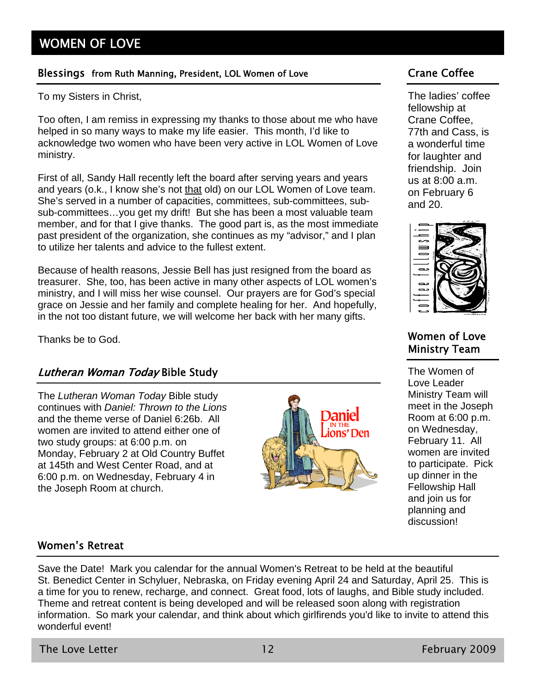#### Blessings from Ruth Manning, President, LOL Women of Love Cannell Crane Coffee

To my Sisters in Christ,

Too often, I am remiss in expressing my thanks to those about me who have helped in so many ways to make my life easier. This month, I'd like to acknowledge two women who have been very active in LOL Women of Love ministry.

First of all, Sandy Hall recently left the board after serving years and years and years (o.k., I know she's not that old) on our LOL Women of Love team. She's served in a number of capacities, committees, sub-committees, subsub-committees…you get my drift! But she has been a most valuable team member, and for that I give thanks. The good part is, as the most immediate past president of the organization, she continues as my "advisor," and I plan to utilize her talents and advice to the fullest extent.

Because of health reasons, Jessie Bell has just resigned from the board as treasurer. She, too, has been active in many other aspects of LOL women's ministry, and I will miss her wise counsel. Our prayers are for God's special grace on Jessie and her family and complete healing for her. And hopefully, in the not too distant future, we will welcome her back with her many gifts.

#### Lutheran Woman Today Bible Study

The *Lutheran Woman Today* Bible study continues with *Daniel: Thrown to the Lions* and the theme verse of Daniel 6:26b. All women are invited to attend either one of two study groups: at 6:00 p.m. on Monday, February 2 at Old Country Buffet at 145th and West Center Road, and at 6:00 p.m. on Wednesday, February 4 in the Joseph Room at church.



The ladies' coffee fellowship at Crane Coffee, 77th and Cass, is a wonderful time for laughter and friendship. Join us at 8:00 a.m. on February 6 and 20.



#### Thanks be to God. Women of Love Ministry Team

The Women of Love Leader Ministry Team will meet in the Joseph Room at 6:00 p.m. on Wednesday, February 11. All women are invited to participate. Pick up dinner in the Fellowship Hall and join us for planning and discussion!

#### Women's Retreat

Save the Date! Mark you calendar for the annual Women's Retreat to be held at the beautiful St. Benedict Center in Schyluer, Nebraska, on Friday evening April 24 and Saturday, April 25. This is a time for you to renew, recharge, and connect. Great food, lots of laughs, and Bible study included. Theme and retreat content is being developed and will be released soon along with registration information. So mark your calendar, and think about which girlfirends you'd like to invite to attend this wonderful event!

The Love Letter **12** February 2009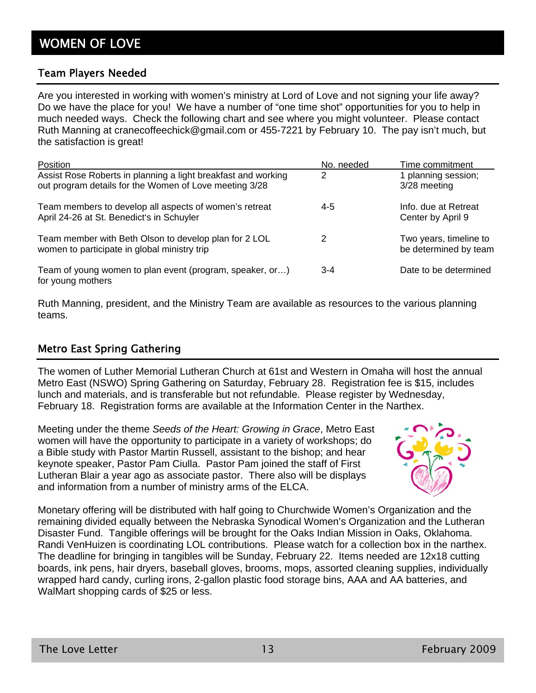#### Team Players Needed

Are you interested in working with women's ministry at Lord of Love and not signing your life away? Do we have the place for you! We have a number of "one time shot" opportunities for you to help in much needed ways. Check the following chart and see where you might volunteer. Please contact Ruth Manning at cranecoffeechick@gmail.com or 455-7221 by February 10. The pay isn't much, but the satisfaction is great!

| Position                                                                                                                | No. needed | Time commitment                                 |
|-------------------------------------------------------------------------------------------------------------------------|------------|-------------------------------------------------|
| Assist Rose Roberts in planning a light breakfast and working<br>out program details for the Women of Love meeting 3/28 | 2          | 1 planning session;<br>3/28 meeting             |
| Team members to develop all aspects of women's retreat<br>April 24-26 at St. Benedict's in Schuyler                     | $4-5$      | Info. due at Retreat<br>Center by April 9       |
| Team member with Beth Olson to develop plan for 2 LOL<br>women to participate in global ministry trip                   | 2          | Two years, timeline to<br>be determined by team |
| Team of young women to plan event (program, speaker, or)<br>for young mothers                                           | $3-4$      | Date to be determined                           |

Ruth Manning, president, and the Ministry Team are available as resources to the various planning teams.

#### Metro East Spring Gathering

The women of Luther Memorial Lutheran Church at 61st and Western in Omaha will host the annual Metro East (NSWO) Spring Gathering on Saturday, February 28. Registration fee is \$15, includes lunch and materials, and is transferable but not refundable. Please register by Wednesday, February 18. Registration forms are available at the Information Center in the Narthex.

Meeting under the theme *Seeds of the Heart: Growing in Grace*, Metro East women will have the opportunity to participate in a variety of workshops; do a Bible study with Pastor Martin Russell, assistant to the bishop; and hear keynote speaker, Pastor Pam Ciulla. Pastor Pam joined the staff of First Lutheran Blair a year ago as associate pastor. There also will be displays and information from a number of ministry arms of the ELCA.



Monetary offering will be distributed with half going to Churchwide Women's Organization and the remaining divided equally between the Nebraska Synodical Women's Organization and the Lutheran Disaster Fund. Tangible offerings will be brought for the Oaks Indian Mission in Oaks, Oklahoma. Randi VenHuizen is coordinating LOL contributions. Please watch for a collection box in the narthex. The deadline for bringing in tangibles will be Sunday, February 22. Items needed are 12x18 cutting boards, ink pens, hair dryers, baseball gloves, brooms, mops, assorted cleaning supplies, individually wrapped hard candy, curling irons, 2-gallon plastic food storage bins, AAA and AA batteries, and WalMart shopping cards of \$25 or less.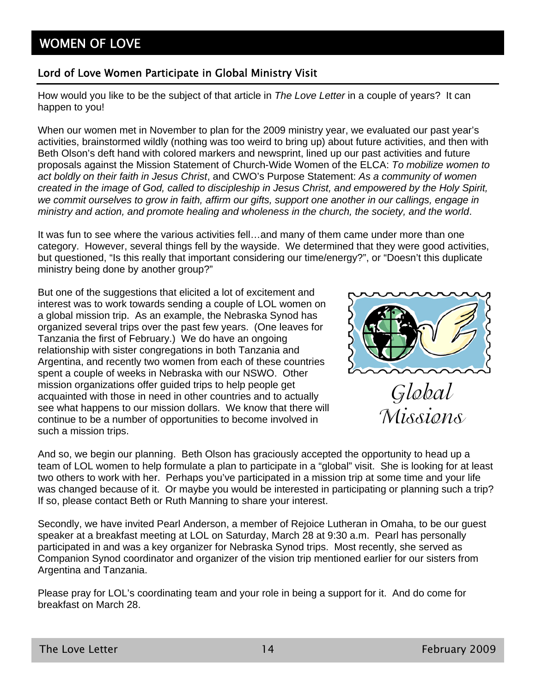## WOMEN OF LOVE

#### Lord of Love Women Participate in Global Ministry Visit

How would you like to be the subject of that article in *The Love Letter* in a couple of years? It can happen to you!

When our women met in November to plan for the 2009 ministry year, we evaluated our past year's activities, brainstormed wildly (nothing was too weird to bring up) about future activities, and then with Beth Olson's deft hand with colored markers and newsprint, lined up our past activities and future proposals against the Mission Statement of Church-Wide Women of the ELCA: *To mobilize women to act boldly on their faith in Jesus Christ*, and CWO's Purpose Statement: *As a community of women created in the image of God, called to discipleship in Jesus Christ, and empowered by the Holy Spirit, we commit ourselves to grow in faith, affirm our gifts, support one another in our callings, engage in ministry and action, and promote healing and wholeness in the church, the society, and the world*.

It was fun to see where the various activities fell…and many of them came under more than one category. However, several things fell by the wayside. We determined that they were good activities, but questioned, "Is this really that important considering our time/energy?", or "Doesn't this duplicate ministry being done by another group?"

But one of the suggestions that elicited a lot of excitement and interest was to work towards sending a couple of LOL women on a global mission trip. As an example, the Nebraska Synod has organized several trips over the past few years. (One leaves for Tanzania the first of February.) We do have an ongoing relationship with sister congregations in both Tanzania and Argentina, and recently two women from each of these countries spent a couple of weeks in Nebraska with our NSWO. Other mission organizations offer guided trips to help people get acquainted with those in need in other countries and to actually see what happens to our mission dollars. We know that there will continue to be a number of opportunities to become involved in such a mission trips.



Global Missions

And so, we begin our planning. Beth Olson has graciously accepted the opportunity to head up a team of LOL women to help formulate a plan to participate in a "global" visit. She is looking for at least two others to work with her. Perhaps you've participated in a mission trip at some time and your life was changed because of it. Or maybe you would be interested in participating or planning such a trip? If so, please contact Beth or Ruth Manning to share your interest.

Secondly, we have invited Pearl Anderson, a member of Rejoice Lutheran in Omaha, to be our guest speaker at a breakfast meeting at LOL on Saturday, March 28 at 9:30 a.m. Pearl has personally participated in and was a key organizer for Nebraska Synod trips. Most recently, she served as Companion Synod coordinator and organizer of the vision trip mentioned earlier for our sisters from Argentina and Tanzania.

Please pray for LOL's coordinating team and your role in being a support for it. And do come for breakfast on March 28.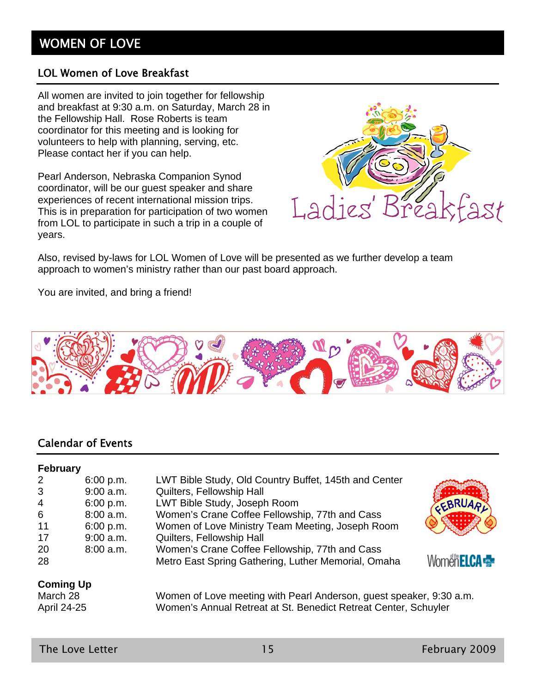## WOMEN OF LOVE

#### LOL Women of Love Breakfast

All women are invited to join together for fellowship and breakfast at 9:30 a.m. on Saturday, March 28 in the Fellowship Hall. Rose Roberts is team coordinator for this meeting and is looking for volunteers to help with planning, serving, etc. Please contact her if you can help.

Pearl Anderson, Nebraska Companion Synod coordinator, will be our guest speaker and share experiences of recent international mission trips. This is in preparation for participation of two women from LOL to participate in such a trip in a couple of years.



Also, revised by-laws for LOL Women of Love will be presented as we further develop a team approach to women's ministry rather than our past board approach.

You are invited, and bring a friend!



#### Calendar of Events

#### **February**

| $\overline{2}$   | 6:00 p.m.   | LWT Bible Study, Old Country Buffet, 145th and Center |                   |
|------------------|-------------|-------------------------------------------------------|-------------------|
| 3                | $9:00$ a.m. | Quilters, Fellowship Hall                             |                   |
| $\overline{4}$   | 6:00 p.m.   | LWT Bible Study, Joseph Room                          | <b>EBRUAD.</b>    |
| 6                | 8:00 a.m.   | Women's Crane Coffee Fellowship, 77th and Cass        |                   |
| 11               | 6:00 p.m.   | Women of Love Ministry Team Meeting, Joseph Room      |                   |
| 17               | $9:00$ a.m. | Quilters, Fellowship Hall                             |                   |
| 20               | 8:00 a.m.   | Women's Crane Coffee Fellowship, 77th and Cass        |                   |
| 28               |             | Metro East Spring Gathering, Luther Memorial, Omaha   | Women <b>ELCA</b> |
| <b>Coming Up</b> |             |                                                       |                   |

March 28 Women of Love meeting with Pearl Anderson, guest speaker, 9:30 a.m. April 24-25 Women's Annual Retreat at St. Benedict Retreat Center, Schuyler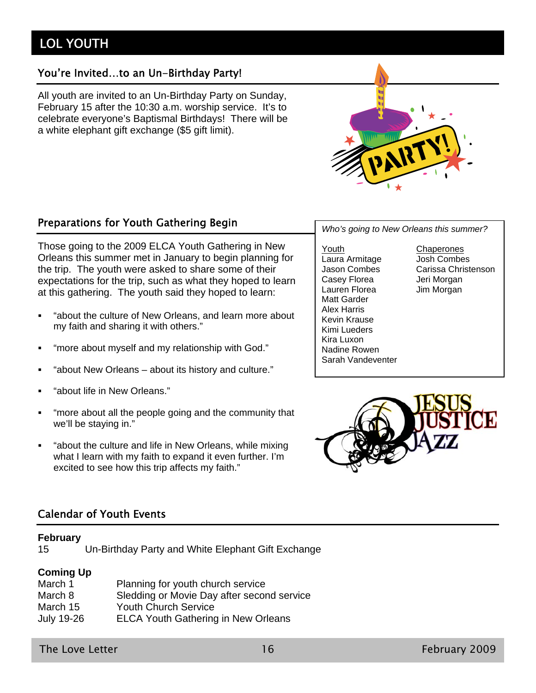## LOL YOUTH

#### You're Invited…to an Un-Birthday Party!

All youth are invited to an Un-Birthday Party on Sunday, February 15 after the 10:30 a.m. worship service. It's to celebrate everyone's Baptismal Birthdays! There will be a white elephant gift exchange (\$5 gift limit).



## Preparations for Youth Gathering Begin *Who's going to New Orleans this summer?*

Those going to the 2009 ELCA Youth Gathering in New Orleans this summer met in January to begin planning for the trip. The youth were asked to share some of their expectations for the trip, such as what they hoped to learn at this gathering. The youth said they hoped to learn:

- "about the culture of New Orleans, and learn more about my faith and sharing it with others."
- "more about myself and my relationship with God."
- "about New Orleans about its history and culture."
- "about life in New Orleans."
- "more about all the people going and the community that we'll be staying in."
- "about the culture and life in New Orleans, while mixing what I learn with my faith to expand it even further. I'm excited to see how this trip affects my faith."

Youth Chaperones Laura Armitage Josh Combes<br>Jason Combes Carissa Christ Casey Florea **Jeri Morgan** Lauren Florea **Jim Morgan** Matt Garder Alex Harris Kevin Krause Kimi Lueders Kira Luxon Nadine Rowen Sarah Vandeventer

Carissa Christenson



#### Calendar of Youth Events

#### **February**

15 Un-Birthday Party and White Elephant Gift Exchange

#### **Coming Up**

| March 1    | Planning for youth church service          |
|------------|--------------------------------------------|
| March 8    | Sledding or Movie Day after second service |
| March 15   | <b>Youth Church Service</b>                |
| July 19-26 | <b>ELCA Youth Gathering in New Orleans</b> |

The Love Letter 16 February 2009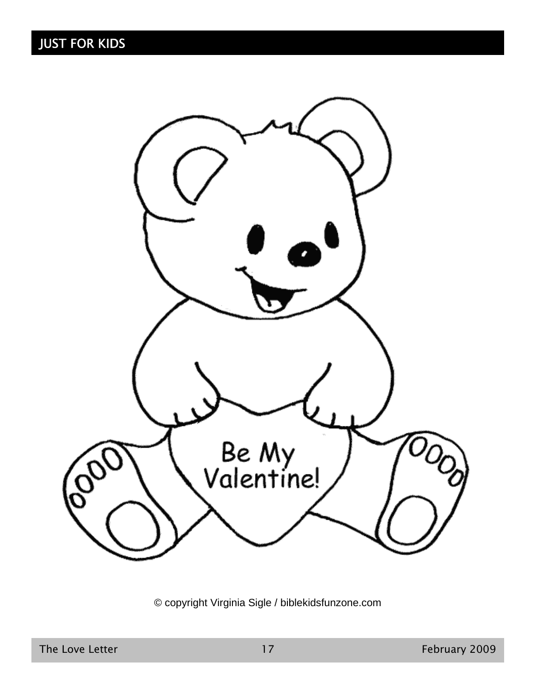

© copyright Virginia Sigle / biblekidsfunzone.com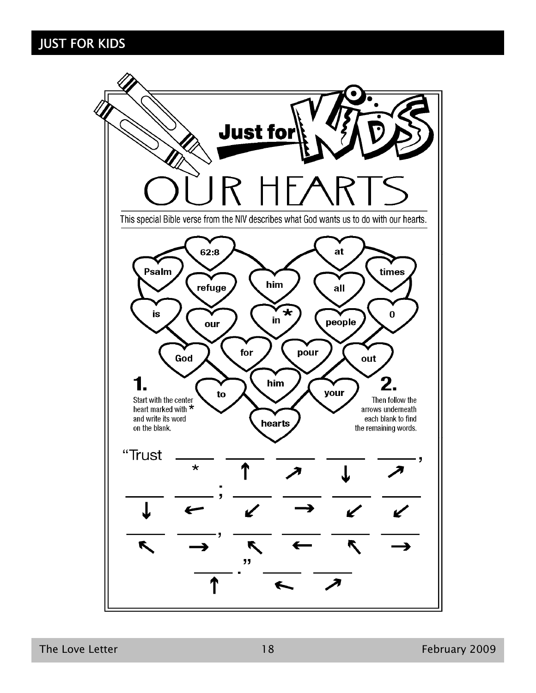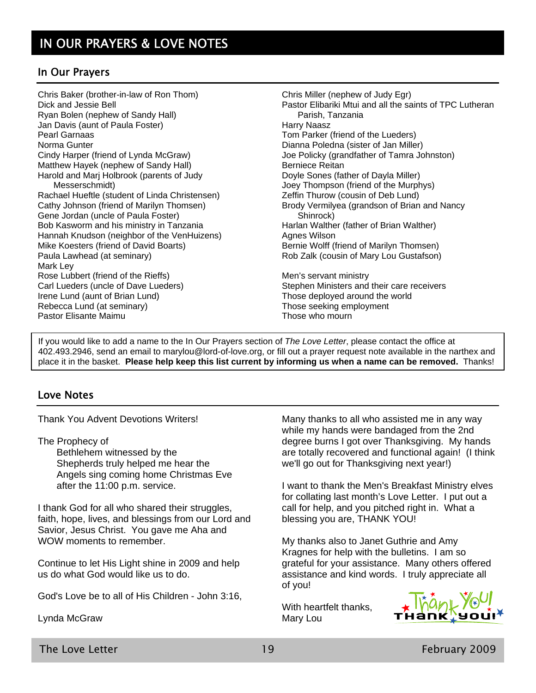#### In Our Prayers

Chris Baker (brother-in-law of Ron Thom) Dick and Jessie Bell Ryan Bolen (nephew of Sandy Hall) Jan Davis (aunt of Paula Foster) Pearl Garnaas Norma Gunter Cindy Harper (friend of Lynda McGraw) Matthew Hayek (nephew of Sandy Hall) Harold and Marj Holbrook (parents of Judy Messerschmidt) Rachael Hueftle (student of Linda Christensen) Cathy Johnson (friend of Marilyn Thomsen) Gene Jordan (uncle of Paula Foster) Bob Kasworm and his ministry in Tanzania Hannah Knudson (neighbor of the VenHuizens) Mike Koesters (friend of David Boarts) Paula Lawhead (at seminary) Mark Ley Rose Lubbert (friend of the Rieffs) Carl Lueders (uncle of Dave Lueders) Irene Lund (aunt of Brian Lund) Rebecca Lund (at seminary) Pastor Elisante Maimu

Chris Miller (nephew of Judy Egr) Pastor Elibariki Mtui and all the saints of TPC Lutheran Parish, Tanzania Harry Naasz Tom Parker (friend of the Lueders) Dianna Poledna (sister of Jan Miller) Joe Policky (grandfather of Tamra Johnston) Berniece Reitan Doyle Sones (father of Dayla Miller) Joey Thompson (friend of the Murphys) Zeffin Thurow (cousin of Deb Lund) Brody Vermilyea (grandson of Brian and Nancy Shinrock) Harlan Walther (father of Brian Walther) Agnes Wilson Bernie Wolff (friend of Marilyn Thomsen) Rob Zalk (cousin of Mary Lou Gustafson) Men's servant ministry Stephen Ministers and their care receivers

Those deployed around the world Those seeking employment Those who mourn

If you would like to add a name to the In Our Prayers section of *The Love Letter*, please contact the office at 402.493.2946, send an email to marylou@lord-of-love.org, or fill out a prayer request note available in the narthex and place it in the basket. **Please help keep this list current by informing us when a name can be removed.** Thanks!

#### Love Notes

Thank You Advent Devotions Writers!

The Prophecy of

Bethlehem witnessed by the Shepherds truly helped me hear the Angels sing coming home Christmas Eve after the 11:00 p.m. service.

I thank God for all who shared their struggles, faith, hope, lives, and blessings from our Lord and Savior, Jesus Christ. You gave me Aha and WOW moments to remember.

Continue to let His Light shine in 2009 and help us do what God would like us to do.

God's Love be to all of His Children - John 3:16,

Lynda McGraw

Many thanks to all who assisted me in any way while my hands were bandaged from the 2nd degree burns I got over Thanksgiving. My hands are totally recovered and functional again! (I think we'll go out for Thanksgiving next year!)

I want to thank the Men's Breakfast Ministry elves for collating last month's Love Letter. I put out a call for help, and you pitched right in. What a blessing you are, THANK YOU!

My thanks also to Janet Guthrie and Amy Kragnes for help with the bulletins. I am so grateful for your assistance. Many others offered assistance and kind words. I truly appreciate all of you!

With heartfelt thanks, Mary Lou



The Love Letter 19 February 2009